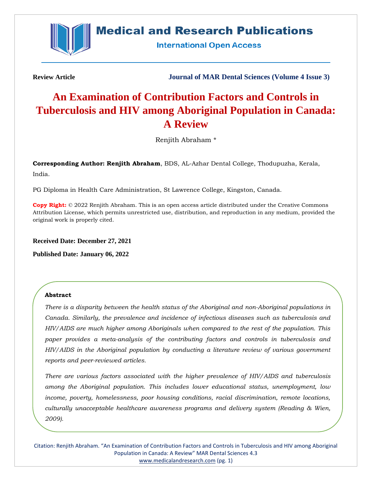

# **Medical and Research Publications**

**International Open Access** 

**Review Article Journal of MAR Dental Sciences (Volume 4 Issue 3)**

# **An Examination of Contribution Factors and Controls in Tuberculosis and HIV among Aboriginal Population in Canada: A Review**

Renjith Abraham \*

**Corresponding Author: Renjith Abraham**, BDS, AL-Azhar Dental College, Thodupuzha, Kerala, India.

PG Diploma in Health Care Administration, St Lawrence College, Kingston, Canada.

**Copy Right:** © 2022 Renjith Abraham. This is an open access article distributed under the Creative Commons Attribution License, which permits unrestricted use, distribution, and reproduction in any medium, provided the original work is properly cited.

**Received Date: December 27, 2021**

**Published Date: January 06, 2022**

## **Abstract**

*There is a disparity between the health status of the Aboriginal and non-Aboriginal populations in Canada. Similarly, the prevalence and incidence of infectious diseases such as tuberculosis and HIV/AIDS are much higher among Aboriginals when compared to the rest of the population. This paper provides a meta-analysis of the contributing factors and controls in tuberculosis and HIV/AIDS in the Aboriginal population by conducting a literature review of various government reports and peer-reviewed articles.*

*There are various factors associated with the higher prevalence of HIV/AIDS and tuberculosis among the Aboriginal population. This includes lower educational status, unemployment, low income, poverty, homelessness, poor housing conditions, racial discrimination, remote locations, culturally unacceptable healthcare awareness programs and delivery system (Reading & Wien, 2009).*

Citation: Renjith Abraham. "An Examination of Contribution Factors and Controls in Tuberculosis and HIV among Aboriginal Population in Canada: A Review" MAR Dental Sciences 4.3 [www.medicalandresearch.com](http://www.medicalandresearch.com/) (pg. 1)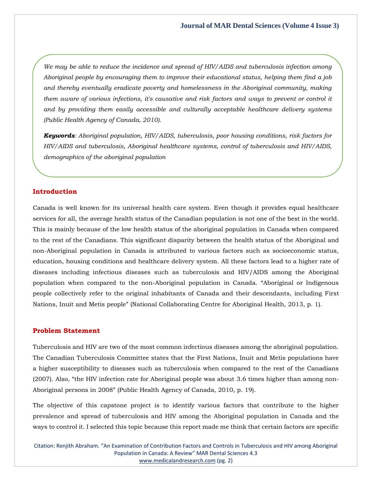*We may be able to reduce the incidence and spread of HIV/AIDS and tuberculosis infection among Aboriginal people by encouraging them to improve their educational status, helping them find a job and thereby eventually eradicate poverty and homelessness in the Aboriginal community, making them aware of various infections, it's causative and risk factors and ways to prevent or control it and by providing them easily accessible and culturally acceptable healthcare delivery systems (Public Health Agency of Canada, 2010).*

*Keywords: Aboriginal population, HIV/AIDS, tuberculosis, poor housing conditions, risk factors for HIV/AIDS and tuberculosis, Aboriginal healthcare systems, control of tuberculosis and HIV/AIDS, demographics of the aboriginal population*

#### **Introduction**

Canada is well known for its universal health care system. Even though it provides equal healthcare services for all, the average health status of the Canadian population is not one of the best in the world. This is mainly because of the low health status of the aboriginal population in Canada when compared to the rest of the Canadians. This significant disparity between the health status of the Aboriginal and non-Aboriginal population in Canada is attributed to various factors such as socioeconomic status, education, housing conditions and healthcare delivery system. All these factors lead to a higher rate of diseases including infectious diseases such as tuberculosis and HIV/AIDS among the Aboriginal population when compared to the non-Aboriginal population in Canada. "Aboriginal or Indigenous people collectively refer to the original inhabitants of Canada and their descendants, including First Nations, Inuit and Metis people" (National Collaborating Centre for Aboriginal Health, 2013, p. 1).

# **Problem Statement**

Tuberculosis and HIV are two of the most common infectious diseases among the aboriginal population. The Canadian Tuberculosis Committee states that the First Nations, Inuit and Metis populations have a higher susceptibility to diseases such as tuberculosis when compared to the rest of the Canadians (2007). Also, "the HIV infection rate for Aboriginal people was about 3.6 times higher than among non-Aboriginal persons in 2008" (Public Health Agency of Canada, 2010, p. 19).

The objective of this capstone project is to identify various factors that contribute to the higher prevalence and spread of tuberculosis and HIV among the Aboriginal population in Canada and the ways to control it. I selected this topic because this report made me think that certain factors are specific

Citation: Renjith Abraham. "An Examination of Contribution Factors and Controls in Tuberculosis and HIV among Aboriginal Population in Canada: A Review" MAR Dental Sciences 4.3 [www.medicalandresearch.com](http://www.medicalandresearch.com/) (pg. 2)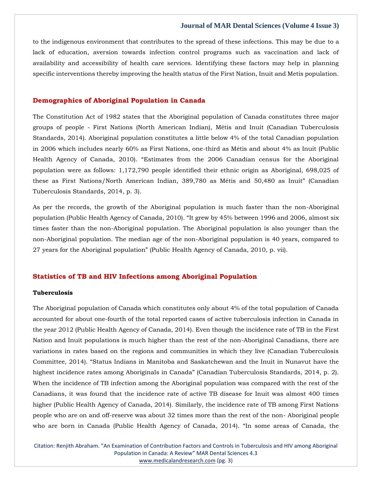to the indigenous environment that contributes to the spread of these infections. This may be due to a lack of education, aversion towards infection control programs such as vaccination and lack of availability and accessibility of health care services. Identifying these factors may help in planning specific interventions thereby improving the health status of the First Nation, Inuit and Metis population.

### **Demographics of Aboriginal Population in Canada**

The Constitution Act of 1982 states that the Aboriginal population of Canada constitutes three major groups of people - First Nations (North American Indian), Métis and Inuit (Canadian Tuberculosis Standards, 2014). Aboriginal population constitutes a little below 4% of the total Canadian population in 2006 which includes nearly 60% as First Nations, one-third as Métis and about 4% as Inuit (Public Health Agency of Canada, 2010). "Estimates from the 2006 Canadian census for the Aboriginal population were as follows: 1,172,790 people identified their ethnic origin as Aboriginal, 698,025 of these as First Nations/North American Indian, 389,780 as Métis and 50,480 as Inuit" (Canadian Tuberculosis Standards, 2014, p. 3).

As per the records, the growth of the Aboriginal population is much faster than the non-Aboriginal population (Public Health Agency of Canada, 2010). "It grew by 45% between 1996 and 2006, almost six times faster than the non-Aboriginal population. The Aboriginal population is also younger than the non-Aboriginal population. The median age of the non-Aboriginal population is 40 years, compared to 27 years for the Aboriginal population" (Public Health Agency of Canada, 2010, p. vii).

#### **Statistics of TB and HIV Infections among Aboriginal Population**

#### **Tuberculosis**

The Aboriginal population of Canada which constitutes only about 4% of the total population of Canada accounted for about one-fourth of the total reported cases of active tuberculosis infection in Canada in the year 2012 (Public Health Agency of Canada, 2014). Even though the incidence rate of TB in the First Nation and Inuit populations is much higher than the rest of the non-Aboriginal Canadians, there are variations in rates based on the regions and communities in which they live (Canadian Tuberculosis Committee, 2014). "Status Indians in Manitoba and Saskatchewan and the Inuit in Nunavut have the highest incidence rates among Aboriginals in Canada" (Canadian Tuberculosis Standards, 2014, p. 2). When the incidence of TB infection among the Aboriginal population was compared with the rest of the Canadians, it was found that the incidence rate of active TB disease for Inuit was almost 400 times higher (Public Health Agency of Canada, 2014). Similarly, the incidence rate of TB among First Nations people who are on and off-reserve was about 32 times more than the rest of the non- Aboriginal people who are born in Canada (Public Health Agency of Canada, 2014). "In some areas of Canada, the

Citation: Renjith Abraham. "An Examination of Contribution Factors and Controls in Tuberculosis and HIV among Aboriginal Population in Canada: A Review" MAR Dental Sciences 4.3 [www.medicalandresearch.com](http://www.medicalandresearch.com/) (pg. 3)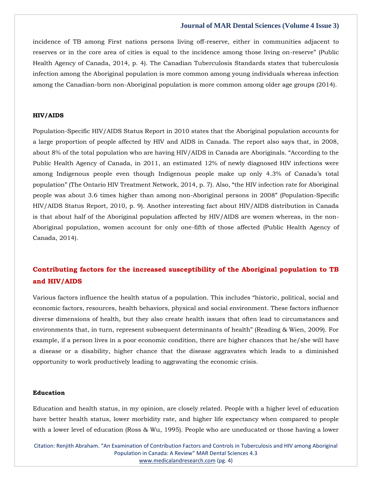incidence of TB among First nations persons living off-reserve, either in communities adjacent to reserves or in the core area of cities is equal to the incidence among those living on-reserve" (Public Health Agency of Canada, 2014, p. 4). The Canadian Tuberculosis Standards states that tuberculosis infection among the Aboriginal population is more common among young individuals whereas infection among the Canadian-born non-Aboriginal population is more common among older age groups (2014).

#### **HIV/AIDS**

Population-Specific HIV/AIDS Status Report in 2010 states that the Aboriginal population accounts for a large proportion of people affected by HIV and AIDS in Canada. The report also says that, in 2008, about 8% of the total population who are having HIV/AIDS in Canada are Aboriginals. "According to the Public Health Agency of Canada, in 2011, an estimated 12% of newly diagnosed HIV infections were among Indigenous people even though Indigenous people make up only 4.3% of Canada's total population" (The Ontario HIV Treatment Network, 2014, p. 7). Also, "the HIV infection rate for Aboriginal people was about 3.6 times higher than among non-Aboriginal persons in 2008" (Population-Specific HIV/AIDS Status Report, 2010, p. 9). Another interesting fact about HIV/AIDS distribution in Canada is that about half of the Aboriginal population affected by HIV/AIDS are women whereas, in the non-Aboriginal population, women account for only one-fifth of those affected (Public Health Agency of Canada, 2014).

# **Contributing factors for the increased susceptibility of the Aboriginal population to TB and HIV/AIDS**

Various factors influence the health status of a population. This includes "historic, political, social and economic factors, resources, health behaviors, physical and social environment. These factors influence diverse dimensions of health, but they also create health issues that often lead to circumstances and environments that, in turn, represent subsequent determinants of health" (Reading & Wien, 2009). For example, if a person lives in a poor economic condition, there are higher chances that he/she will have a disease or a disability, higher chance that the disease aggravates which leads to a diminished opportunity to work productively leading to aggravating the economic crisis.

#### **Education**

Education and health status, in my opinion, are closely related. People with a higher level of education have better health status, lower morbidity rate, and higher life expectancy when compared to people with a lower level of education (Ross & Wu, 1995). People who are uneducated or those having a lower

Citation: Renjith Abraham. "An Examination of Contribution Factors and Controls in Tuberculosis and HIV among Aboriginal Population in Canada: A Review" MAR Dental Sciences 4.3 [www.medicalandresearch.com](http://www.medicalandresearch.com/) (pg. 4)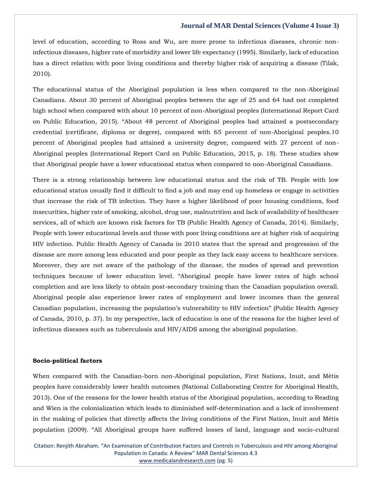level of education, according to Ross and Wu, are more prone to infectious diseases, chronic noninfectious diseases, higher rate of morbidity and lower life expectancy (1995). Similarly, lack of education has a direct relation with poor living conditions and thereby higher risk of acquiring a disease (Tilak, 2010).

The educational status of the Aboriginal population is less when compared to the non-Aboriginal Canadians. About 30 percent of Aboriginal peoples between the age of 25 and 64 had not completed high school when compared with about 10 percent of non-Aboriginal peoples (International Report Card on Public Education, 2015). "About 48 percent of Aboriginal peoples had attained a postsecondary credential (certificate, diploma or degree), compared with 65 percent of non-Aboriginal peoples.10 percent of Aboriginal peoples had attained a university degree, compared with 27 percent of non-Aboriginal peoples (International Report Card on Public Education, 2015, p. 18). These studies show that Aboriginal people have a lower educational status when compared to non-Aboriginal Canadians.

There is a strong relationship between low educational status and the risk of TB. People with low educational status usually find it difficult to find a job and may end up homeless or engage in activities that increase the risk of TB infection. They have a higher likelihood of poor housing conditions, food insecurities, higher rate of smoking, alcohol, drug use, malnutrition and lack of availability of healthcare services, all of which are known risk factors for TB (Public Health Agency of Canada, 2014). Similarly, People with lower educational levels and those with poor living conditions are at higher risk of acquiring HIV infection. Public Health Agency of Canada in 2010 states that the spread and progression of the disease are more among less educated and poor people as they lack easy access to healthcare services. Moreover, they are not aware of the pathology of the disease, the modes of spread and prevention techniques because of lower education level. "Aboriginal people have lower rates of high school completion and are less likely to obtain post-secondary training than the Canadian population overall. Aboriginal people also experience lower rates of employment and lower incomes than the general Canadian population, increasing the population's vulnerability to HIV infection" (Public Health Agency of Canada, 2010, p. 37). In my perspective, lack of education is one of the reasons for the higher level of infectious diseases such as tuberculosis and HIV/AIDS among the aboriginal population.

#### **Socio-political factors**

When compared with the Canadian-born non-Aboriginal population, First Nations, Inuit, and Métis peoples have considerably lower health outcomes (National Collaborating Centre for Aboriginal Health, 2013). One of the reasons for the lower health status of the Aboriginal population, according to Reading and Wien is the colonialization which leads to diminished self-determination and a lack of involvement in the making of policies that directly affects the living conditions of the First Nation, Inuit and Métis population (2009). "All Aboriginal groups have suffered losses of land, language and socio-cultural

Citation: Renjith Abraham. "An Examination of Contribution Factors and Controls in Tuberculosis and HIV among Aboriginal Population in Canada: A Review" MAR Dental Sciences 4.3 [www.medicalandresearch.com](http://www.medicalandresearch.com/) (pg. 5)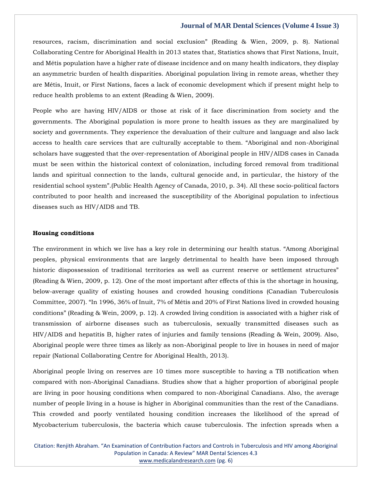resources, racism, discrimination and social exclusion" (Reading & Wien, 2009, p. 8). National Collaborating Centre for Aboriginal Health in 2013 states that, Statistics shows that First Nations, Inuit, and Métis population have a higher rate of disease incidence and on many health indicators, they display an asymmetric burden of health disparities. Aboriginal population living in remote areas, whether they are Métis, Inuit, or First Nations, faces a lack of economic development which if present might help to reduce health problems to an extent (Reading & Wien, 2009).

People who are having HIV/AIDS or those at risk of it face discrimination from society and the governments. The Aboriginal population is more prone to health issues as they are marginalized by society and governments. They experience the devaluation of their culture and language and also lack access to health care services that are culturally acceptable to them. "Aboriginal and non-Aboriginal scholars have suggested that the over-representation of Aboriginal people in HIV/AIDS cases in Canada must be seen within the historical context of colonization, including forced removal from traditional lands and spiritual connection to the lands, cultural genocide and, in particular, the history of the residential school system".(Public Health Agency of Canada, 2010, p. 34). All these socio-political factors contributed to poor health and increased the susceptibility of the Aboriginal population to infectious diseases such as HIV/AIDS and TB.

#### **Housing conditions**

The environment in which we live has a key role in determining our health status. "Among Aboriginal peoples, physical environments that are largely detrimental to health have been imposed through historic dispossession of traditional territories as well as current reserve or settlement structures" (Reading & Wien, 2009, p. 12). One of the most important after effects of this is the shortage in housing, below-average quality of existing houses and crowded housing conditions (Canadian Tuberculosis Committee, 2007). "In 1996, 36% of Inuit, 7% of Métis and 20% of First Nations lived in crowded housing conditions" (Reading & Wein, 2009, p. 12). A crowded living condition is associated with a higher risk of transmission of airborne diseases such as tuberculosis, sexually transmitted diseases such as HIV/AIDS and hepatitis B, higher rates of injuries and family tensions (Reading & Wein, 2009). Also, Aboriginal people were three times as likely as non-Aboriginal people to live in houses in need of major repair (National Collaborating Centre for Aboriginal Health, 2013).

Aboriginal people living on reserves are 10 times more susceptible to having a TB notification when compared with non-Aboriginal Canadians. Studies show that a higher proportion of aboriginal people are living in poor housing conditions when compared to non-Aboriginal Canadians. Also, the average number of people living in a house is higher in Aboriginal communities than the rest of the Canadians. This crowded and poorly ventilated housing condition increases the likelihood of the spread of Mycobacterium tuberculosis, the bacteria which cause tuberculosis. The infection spreads when a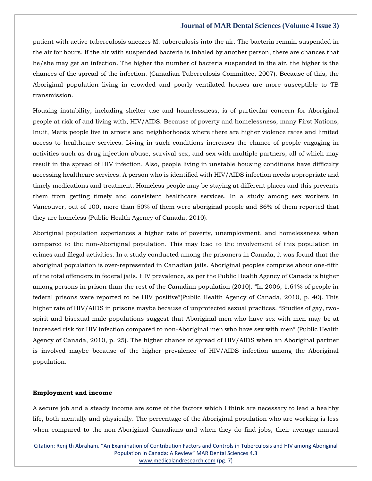patient with active tuberculosis sneezes M. tuberculosis into the air. The bacteria remain suspended in the air for hours. If the air with suspended bacteria is inhaled by another person, there are chances that he/she may get an infection. The higher the number of bacteria suspended in the air, the higher is the chances of the spread of the infection. (Canadian Tuberculosis Committee, 2007). Because of this, the Aboriginal population living in crowded and poorly ventilated houses are more susceptible to TB transmission.

Housing instability, including shelter use and homelessness, is of particular concern for Aboriginal people at risk of and living with, HIV/AIDS. Because of poverty and homelessness, many First Nations, Inuit, Metis people live in streets and neighborhoods where there are higher violence rates and limited access to healthcare services. Living in such conditions increases the chance of people engaging in activities such as drug injection abuse, survival sex, and sex with multiple partners, all of which may result in the spread of HIV infection. Also, people living in unstable housing conditions have difficulty accessing healthcare services. A person who is identified with HIV/AIDS infection needs appropriate and timely medications and treatment. Homeless people may be staying at different places and this prevents them from getting timely and consistent healthcare services. In a study among sex workers in Vancouver, out of 100, more than 50% of them were aboriginal people and 86% of them reported that they are homeless (Public Health Agency of Canada, 2010).

Aboriginal population experiences a higher rate of poverty, unemployment, and homelessness when compared to the non-Aboriginal population. This may lead to the involvement of this population in crimes and illegal activities. In a study conducted among the prisoners in Canada, it was found that the aboriginal population is over-represented in Canadian jails. Aboriginal peoples comprise about one-fifth of the total offenders in federal jails. HIV prevalence, as per the Public Health Agency of Canada is higher among persons in prison than the rest of the Canadian population (2010). "In 2006, 1.64% of people in federal prisons were reported to be HIV positive"(Public Health Agency of Canada, 2010, p. 40). This higher rate of HIV/AIDS in prisons maybe because of unprotected sexual practices. "Studies of gay, twospirit and bisexual male populations suggest that Aboriginal men who have sex with men may be at increased risk for HIV infection compared to non-Aboriginal men who have sex with men" (Public Health Agency of Canada, 2010, p. 25). The higher chance of spread of HIV/AIDS when an Aboriginal partner is involved maybe because of the higher prevalence of HIV/AIDS infection among the Aboriginal population.

#### **Employment and income**

A secure job and a steady income are some of the factors which I think are necessary to lead a healthy life, both mentally and physically. The percentage of the Aboriginal population who are working is less when compared to the non-Aboriginal Canadians and when they do find jobs, their average annual

Citation: Renjith Abraham. "An Examination of Contribution Factors and Controls in Tuberculosis and HIV among Aboriginal Population in Canada: A Review" MAR Dental Sciences 4.3 [www.medicalandresearch.com](http://www.medicalandresearch.com/) (pg. 7)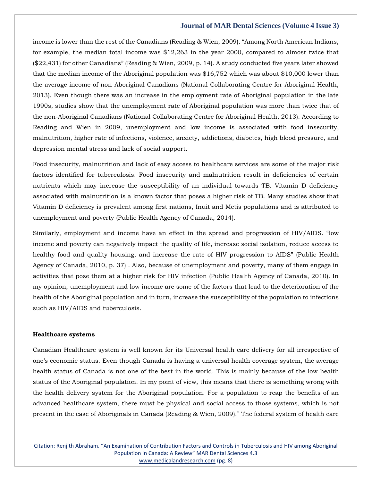income is lower than the rest of the Canadians (Reading & Wien, 2009). "Among North American Indians, for example, the median total income was \$12,263 in the year 2000, compared to almost twice that (\$22,431) for other Canadians" (Reading & Wien, 2009, p. 14). A study conducted five years later showed that the median income of the Aboriginal population was \$16,752 which was about \$10,000 lower than the average income of non-Aboriginal Canadians (National Collaborating Centre for Aboriginal Health, 2013). Even though there was an increase in the employment rate of Aboriginal population in the late 1990s, studies show that the unemployment rate of Aboriginal population was more than twice that of the non-Aboriginal Canadians (National Collaborating Centre for Aboriginal Health, 2013). According to Reading and Wien in 2009, unemployment and low income is associated with food insecurity, malnutrition, higher rate of infections, violence, anxiety, addictions, diabetes, high blood pressure, and depression mental stress and lack of social support.

Food insecurity, malnutrition and lack of easy access to healthcare services are some of the major risk factors identified for tuberculosis. Food insecurity and malnutrition result in deficiencies of certain nutrients which may increase the susceptibility of an individual towards TB. Vitamin D deficiency associated with malnutrition is a known factor that poses a higher risk of TB. Many studies show that Vitamin D deficiency is prevalent among first nations, Inuit and Metis populations and is attributed to unemployment and poverty (Public Health Agency of Canada, 2014).

Similarly, employment and income have an effect in the spread and progression of HIV/AIDS. "low income and poverty can negatively impact the quality of life, increase social isolation, reduce access to healthy food and quality housing, and increase the rate of HIV progression to AIDS" (Public Health Agency of Canada, 2010, p. 37) . Also, because of unemployment and poverty, many of them engage in activities that pose them at a higher risk for HIV infection (Public Health Agency of Canada, 2010). In my opinion, unemployment and low income are some of the factors that lead to the deterioration of the health of the Aboriginal population and in turn, increase the susceptibility of the population to infections such as HIV/AIDS and tuberculosis.

#### **Healthcare systems**

Canadian Healthcare system is well known for its Universal health care delivery for all irrespective of one's economic status. Even though Canada is having a universal health coverage system, the average health status of Canada is not one of the best in the world. This is mainly because of the low health status of the Aboriginal population. In my point of view, this means that there is something wrong with the health delivery system for the Aboriginal population. For a population to reap the benefits of an advanced healthcare system, there must be physical and social access to those systems, which is not present in the case of Aboriginals in Canada (Reading & Wien, 2009)." The federal system of health care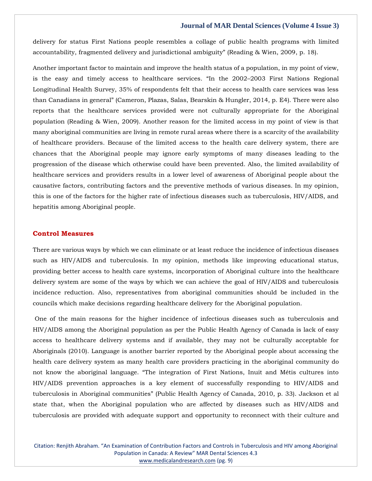delivery for status First Nations people resembles a collage of public health programs with limited accountability, fragmented delivery and jurisdictional ambiguity" (Reading & Wien, 2009, p. 18).

Another important factor to maintain and improve the health status of a population, in my point of view, is the easy and timely access to healthcare services. "In the 2002–2003 First Nations Regional Longitudinal Health Survey, 35% of respondents felt that their access to health care services was less than Canadians in general" (Cameron, Plazas, Salas, Bearskin & Hungler, 2014, p. E4). There were also reports that the healthcare services provided were not culturally appropriate for the Aboriginal population (Reading & Wien, 2009). Another reason for the limited access in my point of view is that many aboriginal communities are living in remote rural areas where there is a scarcity of the availability of healthcare providers. Because of the limited access to the health care delivery system, there are chances that the Aboriginal people may ignore early symptoms of many diseases leading to the progression of the disease which otherwise could have been prevented. Also, the limited availability of healthcare services and providers results in a lower level of awareness of Aboriginal people about the causative factors, contributing factors and the preventive methods of various diseases. In my opinion, this is one of the factors for the higher rate of infectious diseases such as tuberculosis, HIV/AIDS, and hepatitis among Aboriginal people.

## **Control Measures**

There are various ways by which we can eliminate or at least reduce the incidence of infectious diseases such as HIV/AIDS and tuberculosis. In my opinion, methods like improving educational status, providing better access to health care systems, incorporation of Aboriginal culture into the healthcare delivery system are some of the ways by which we can achieve the goal of HIV/AIDS and tuberculosis incidence reduction. Also, representatives from aboriginal communities should be included in the councils which make decisions regarding healthcare delivery for the Aboriginal population.

One of the main reasons for the higher incidence of infectious diseases such as tuberculosis and HIV/AIDS among the Aboriginal population as per the Public Health Agency of Canada is lack of easy access to healthcare delivery systems and if available, they may not be culturally acceptable for Aboriginals (2010). Language is another barrier reported by the Aboriginal people about accessing the health care delivery system as many health care providers practicing in the aboriginal community do not know the aboriginal language. "The integration of First Nations, Inuit and Métis cultures into HIV/AIDS prevention approaches is a key element of successfully responding to HIV/AIDS and tuberculosis in Aboriginal communities" (Public Health Agency of Canada, 2010, p. 33). Jackson et al state that, when the Aboriginal population who are affected by diseases such as HIV/AIDS and tuberculosis are provided with adequate support and opportunity to reconnect with their culture and

Citation: Renjith Abraham. "An Examination of Contribution Factors and Controls in Tuberculosis and HIV among Aboriginal Population in Canada: A Review" MAR Dental Sciences 4.3 [www.medicalandresearch.com](http://www.medicalandresearch.com/) (pg. 9)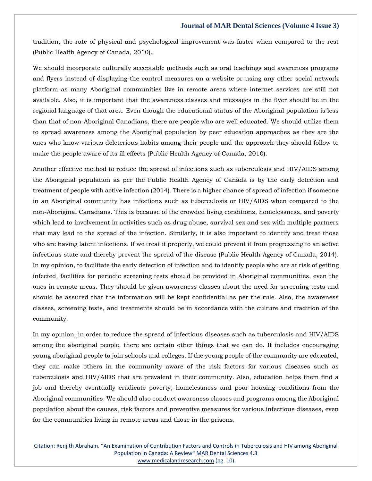tradition, the rate of physical and psychological improvement was faster when compared to the rest (Public Health Agency of Canada, 2010).

We should incorporate culturally acceptable methods such as oral teachings and awareness programs and flyers instead of displaying the control measures on a website or using any other social network platform as many Aboriginal communities live in remote areas where internet services are still not available. Also, it is important that the awareness classes and messages in the flyer should be in the regional language of that area. Even though the educational status of the Aboriginal population is less than that of non-Aboriginal Canadians, there are people who are well educated. We should utilize them to spread awareness among the Aboriginal population by peer education approaches as they are the ones who know various deleterious habits among their people and the approach they should follow to make the people aware of its ill effects (Public Health Agency of Canada, 2010).

Another effective method to reduce the spread of infections such as tuberculosis and HIV/AIDS among the Aboriginal population as per the Public Health Agency of Canada is by the early detection and treatment of people with active infection (2014). There is a higher chance of spread of infection if someone in an Aboriginal community has infections such as tuberculosis or HIV/AIDS when compared to the non-Aboriginal Canadians. This is because of the crowded living conditions, homelessness, and poverty which lead to involvement in activities such as drug abuse, survival sex and sex with multiple partners that may lead to the spread of the infection. Similarly, it is also important to identify and treat those who are having latent infections. If we treat it properly, we could prevent it from progressing to an active infectious state and thereby prevent the spread of the disease (Public Health Agency of Canada, 2014). In my opinion, to facilitate the early detection of infection and to identify people who are at risk of getting infected, facilities for periodic screening tests should be provided in Aboriginal communities, even the ones in remote areas. They should be given awareness classes about the need for screening tests and should be assured that the information will be kept confidential as per the rule. Also, the awareness classes, screening tests, and treatments should be in accordance with the culture and tradition of the community.

In my opinion, in order to reduce the spread of infectious diseases such as tuberculosis and HIV/AIDS among the aboriginal people, there are certain other things that we can do. It includes encouraging young aboriginal people to join schools and colleges. If the young people of the community are educated, they can make others in the community aware of the risk factors for various diseases such as tuberculosis and HIV/AIDS that are prevalent in their community. Also, education helps them find a job and thereby eventually eradicate poverty, homelessness and poor housing conditions from the Aboriginal communities. We should also conduct awareness classes and programs among the Aboriginal population about the causes, risk factors and preventive measures for various infectious diseases, even for the communities living in remote areas and those in the prisons.

Citation: Renjith Abraham. "An Examination of Contribution Factors and Controls in Tuberculosis and HIV among Aboriginal Population in Canada: A Review" MAR Dental Sciences 4.3 [www.medicalandresearch.com](http://www.medicalandresearch.com/) (pg. 10)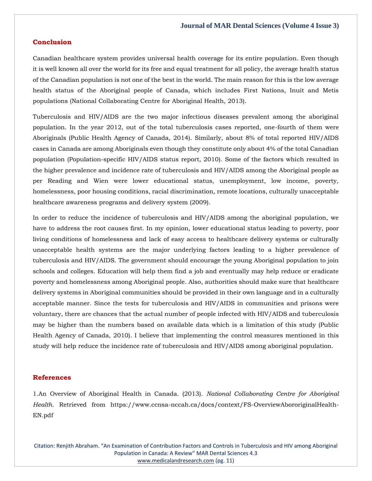#### **Conclusion**

Canadian healthcare system provides universal health coverage for its entire population. Even though it is well known all over the world for its free and equal treatment for all policy, the average health status of the Canadian population is not one of the best in the world. The main reason for this is the low average health status of the Aboriginal people of Canada, which includes First Nations, Inuit and Metis populations (National Collaborating Centre for Aboriginal Health, 2013).

Tuberculosis and HIV/AIDS are the two major infectious diseases prevalent among the aboriginal population. In the year 2012, out of the total tuberculosis cases reported, one-fourth of them were Aboriginals (Public Health Agency of Canada, 2014). Similarly, about 8% of total reported HIV/AIDS cases in Canada are among Aboriginals even though they constitute only about 4% of the total Canadian population (Population-specific HIV/AIDS status report, 2010). Some of the factors which resulted in the higher prevalence and incidence rate of tuberculosis and HIV/AIDS among the Aboriginal people as per Reading and Wien were lower educational status, unemployment, low income, poverty, homelessness, poor housing conditions, racial discrimination, remote locations, culturally unacceptable healthcare awareness programs and delivery system (2009).

In order to reduce the incidence of tuberculosis and HIV/AIDS among the aboriginal population, we have to address the root causes first. In my opinion, lower educational status leading to poverty, poor living conditions of homelessness and lack of easy access to healthcare delivery systems or culturally unacceptable health systems are the major underlying factors leading to a higher prevalence of tuberculosis and HIV/AIDS. The government should encourage the young Aboriginal population to join schools and colleges. Education will help them find a job and eventually may help reduce or eradicate poverty and homelessness among Aboriginal people. Also, authorities should make sure that healthcare delivery systems in Aboriginal communities should be provided in their own language and in a culturally acceptable manner. Since the tests for tuberculosis and HIV/AIDS in communities and prisons were voluntary, there are chances that the actual number of people infected with HIV/AIDS and tuberculosis may be higher than the numbers based on available data which is a limitation of this study (Public Health Agency of Canada, 2010). I believe that implementing the control measures mentioned in this study will help reduce the incidence rate of tuberculosis and HIV/AIDS among aboriginal population.

#### **References**

1.An Overview of Aboriginal Health in Canada. (2013). *National Collaborating Centre for Aboriginal Health*. Retrieved from https://www.ccnsa-nccah.ca/docs/context/FS-OverviewAbororiginalHealth-EN.pdf

Citation: Renjith Abraham. "An Examination of Contribution Factors and Controls in Tuberculosis and HIV among Aboriginal Population in Canada: A Review" MAR Dental Sciences 4.3 [www.medicalandresearch.com](http://www.medicalandresearch.com/) (pg. 11)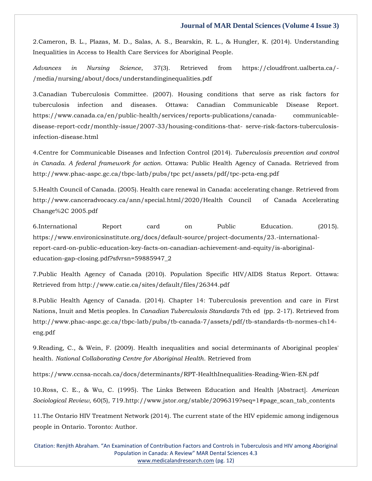2.Cameron, B. L., Plazas, M. D., Salas, A. S., Bearskin, R. L., & Hungler, K. (2014). Understanding Inequalities in Access to Health Care Services for Aboriginal People.

*Advances in Nursing Science*, 37(3). Retrieved from https://cloudfront.ualberta.ca/- /media/nursing/about/docs/understandinginequalities.pdf

3.Canadian Tuberculosis Committee. (2007). Housing conditions that serve as risk factors for tuberculosis infection and diseases. Ottawa: Canadian Communicable Disease Report. https://www.canada.ca/en/public-health/services/reports-publications/canada- communicabledisease-report-ccdr/monthly-issue/2007-33/housing-conditions-that- serve-risk-factors-tuberculosisinfection-disease.html

4.Centre for Communicable Diseases and Infection Control (2014). *Tuberculosis prevention and control in Canada. A federal framework for action*. Ottawa: Public Health Agency of Canada. Retrieved from <http://www.phac-aspc.gc.ca/tbpc-latb/pubs/tpc> pct/assets/pdf/tpc-pcta-eng.pdf

5.Health Council of Canada. (2005). Health care renewal in Canada: accelerating change. Retrieved from http://www.canceradvocacy.ca/ann/special.html/2020/Health Council of Canada Accelerating Change%2C 2005.pdf

6.International Report card on Public Education. (2015). https://www.environicsinstitute.org/docs/default-source/project-documents/23.-internationalreport-card-on-public-education-key-facts-on-canadian-achievement-and-equity/is-aboriginaleducation-gap-closing.pdf?sfvrsn=59885947\_2

7.Public Health Agency of Canada (2010). Population Specific HIV/AIDS Status Report. Ottawa: Retrieved from http://www.catie.ca/sites/default/files/26344.pdf

8.Public Health Agency of Canada. (2014). Chapter 14: Tuberculosis prevention and care in First Nations, Inuit and Metis peoples. In *Canadian Tuberculosis Standards* 7th ed (pp. 2-17). Retrieved from [http://www.phac-aspc.gc.ca/tbpc-latb/pubs/tb-canada-7/assets/pdf/tb-standards-tb-normes-ch14](http://www.phac-aspc.gc.ca/tbpc-latb/pubs/tb-canada-7/assets/pdf/tb-standards-tb-normes-ch14-eng.pdf) [eng.pdf](http://www.phac-aspc.gc.ca/tbpc-latb/pubs/tb-canada-7/assets/pdf/tb-standards-tb-normes-ch14-eng.pdf)

9.Reading, C., & Wein, F. (2009). Health inequalities and social determinants of Aboriginal peoples' health. *National Collaborating Centre for Aboriginal Health*. Retrieved from

https://www.ccnsa-nccah.ca/docs/determinants/RPT-HealthInequalities-Reading-Wien-EN.pdf

10.Ross, C. E., & Wu, C. (1995). The Links Between Education and Health [Abstract]. *American Sociological Review*, 60(5), 719[.http://www.jstor.org/stable/2096319?seq=1#page\\_scan\\_tab\\_contents](http://www.jstor.org/stable/2096319?seq=1#page_scan_tab_contents)

11.The Ontario HIV Treatment Network (2014). The current state of the HIV epidemic among indigenous people in Ontario. Toronto: Author.

Citation: Renjith Abraham. "An Examination of Contribution Factors and Controls in Tuberculosis and HIV among Aboriginal Population in Canada: A Review" MAR Dental Sciences 4.3 [www.medicalandresearch.com](http://www.medicalandresearch.com/) (pg. 12)